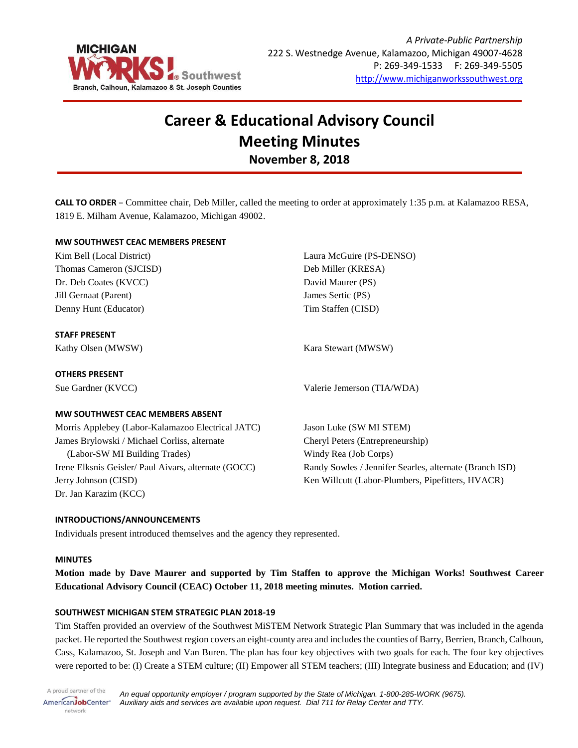

# **Career & Educational Advisory Council Meeting Minutes November 8, 2018**

**CALL TO ORDER** – Committee chair, Deb Miller, called the meeting to order at approximately 1:35 p.m. at Kalamazoo RESA, 1819 E. Milham Avenue, Kalamazoo, Michigan 49002.

# **MW SOUTHWEST CEAC MEMBERS PRESENT**

| Kim Bell (Local District)                            | Laura McGuire (PS-DENSO)                                |
|------------------------------------------------------|---------------------------------------------------------|
| Thomas Cameron (SJCISD)                              | Deb Miller (KRESA)                                      |
| Dr. Deb Coates (KVCC)                                | David Maurer (PS)                                       |
| Jill Gernaat (Parent)                                | James Sertic (PS)                                       |
| Denny Hunt (Educator)                                | Tim Staffen (CISD)                                      |
| <b>STAFF PRESENT</b>                                 |                                                         |
| Kathy Olsen (MWSW)                                   | Kara Stewart (MWSW)                                     |
| <b>OTHERS PRESENT</b>                                |                                                         |
| Sue Gardner (KVCC)                                   | Valerie Jemerson (TIA/WDA)                              |
| MW SOUTHWEST CEAC MEMBERS ABSENT                     |                                                         |
| Morris Applebey (Labor-Kalamazoo Electrical JATC)    | Jason Luke (SW MI STEM)                                 |
| James Brylowski / Michael Corliss, alternate         | Cheryl Peters (Entrepreneurship)                        |
| (Labor-SW MI Building Trades)                        | Windy Rea (Job Corps)                                   |
| Irene Elksnis Geisler/ Paul Aivars, alternate (GOCC) | Randy Sowles / Jennifer Searles, alternate (Branch ISD) |
| Jerry Johnson (CISD)                                 | Ken Willcutt (Labor-Plumbers, Pipefitters, HVACR)       |
| Dr. Jan Karazim (KCC)                                |                                                         |

# **INTRODUCTIONS/ANNOUNCEMENTS**

Individuals present introduced themselves and the agency they represented.

### **MINUTES**

**Motion made by Dave Maurer and supported by Tim Staffen to approve the Michigan Works! Southwest Career Educational Advisory Council (CEAC) October 11, 2018 meeting minutes. Motion carried.**

### **SOUTHWEST MICHIGAN STEM STRATEGIC PLAN 2018-19**

Tim Staffen provided an overview of the Southwest MiSTEM Network Strategic Plan Summary that was included in the agenda packet. He reported the Southwest region covers an eight-county area and includes the counties of Barry, Berrien, Branch, Calhoun, Cass, Kalamazoo, St. Joseph and Van Buren. The plan has four key objectives with two goals for each. The four key objectives were reported to be: (I) Create a STEM culture; (II) Empower all STEM teachers; (III) Integrate business and Education; and (IV)

A proud partner of the *An equal opportunity employer / program supported by the State of Michigan. 1-800-285-WORK (9675).* AmericanJobCenter<sup>®</sup> *Auxiliary aids and services are available upon request. Dial 711 for Relay Center and TTY.* network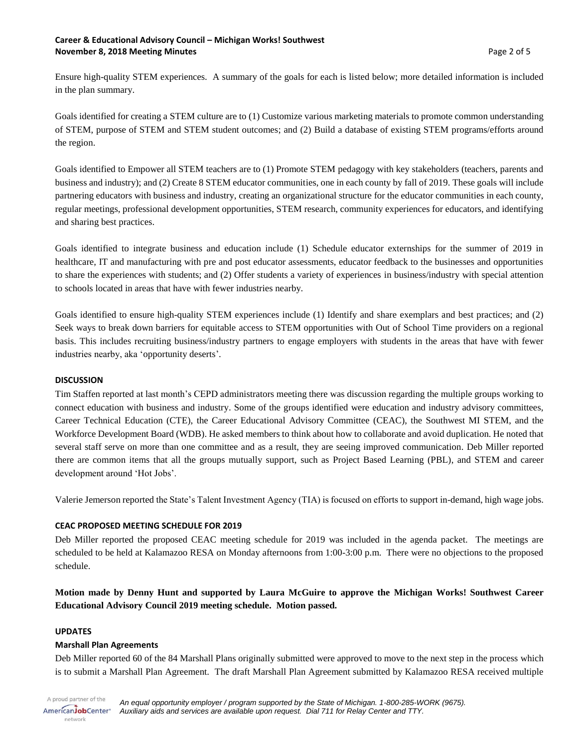## **Career & Educational Advisory Council – Michigan Works! Southwest November 8, 2018 Meeting Minutes According the Control of Security According to Page 2 of 5** news and Page 2 of 5

Ensure high-quality STEM experiences. A summary of the goals for each is listed below; more detailed information is included in the plan summary.

Goals identified for creating a STEM culture are to (1) Customize various marketing materials to promote common understanding of STEM, purpose of STEM and STEM student outcomes; and (2) Build a database of existing STEM programs/efforts around the region.

Goals identified to Empower all STEM teachers are to (1) Promote STEM pedagogy with key stakeholders (teachers, parents and business and industry); and (2) Create 8 STEM educator communities, one in each county by fall of 2019. These goals will include partnering educators with business and industry, creating an organizational structure for the educator communities in each county, regular meetings, professional development opportunities, STEM research, community experiences for educators, and identifying and sharing best practices.

Goals identified to integrate business and education include (1) Schedule educator externships for the summer of 2019 in healthcare, IT and manufacturing with pre and post educator assessments, educator feedback to the businesses and opportunities to share the experiences with students; and (2) Offer students a variety of experiences in business/industry with special attention to schools located in areas that have with fewer industries nearby.

Goals identified to ensure high-quality STEM experiences include (1) Identify and share exemplars and best practices; and (2) Seek ways to break down barriers for equitable access to STEM opportunities with Out of School Time providers on a regional basis. This includes recruiting business/industry partners to engage employers with students in the areas that have with fewer industries nearby, aka 'opportunity deserts'.

# **DISCUSSION**

Tim Staffen reported at last month's CEPD administrators meeting there was discussion regarding the multiple groups working to connect education with business and industry. Some of the groups identified were education and industry advisory committees, Career Technical Education (CTE), the Career Educational Advisory Committee (CEAC), the Southwest MI STEM, and the Workforce Development Board (WDB). He asked members to think about how to collaborate and avoid duplication. He noted that several staff serve on more than one committee and as a result, they are seeing improved communication. Deb Miller reported there are common items that all the groups mutually support, such as Project Based Learning (PBL), and STEM and career development around 'Hot Jobs'.

Valerie Jemerson reported the State's Talent Investment Agency (TIA) is focused on efforts to support in-demand, high wage jobs.

# **CEAC PROPOSED MEETING SCHEDULE FOR 2019**

Deb Miller reported the proposed CEAC meeting schedule for 2019 was included in the agenda packet. The meetings are scheduled to be held at Kalamazoo RESA on Monday afternoons from 1:00-3:00 p.m. There were no objections to the proposed schedule.

**Motion made by Denny Hunt and supported by Laura McGuire to approve the Michigan Works! Southwest Career Educational Advisory Council 2019 meeting schedule. Motion passed.** 

### **UPDATES**

# **Marshall Plan Agreements**

Deb Miller reported 60 of the 84 Marshall Plans originally submitted were approved to move to the next step in the process which is to submit a Marshall Plan Agreement. The draft Marshall Plan Agreement submitted by Kalamazoo RESA received multiple

A proud partner of the AmericanJobCenter<sup>®</sup> network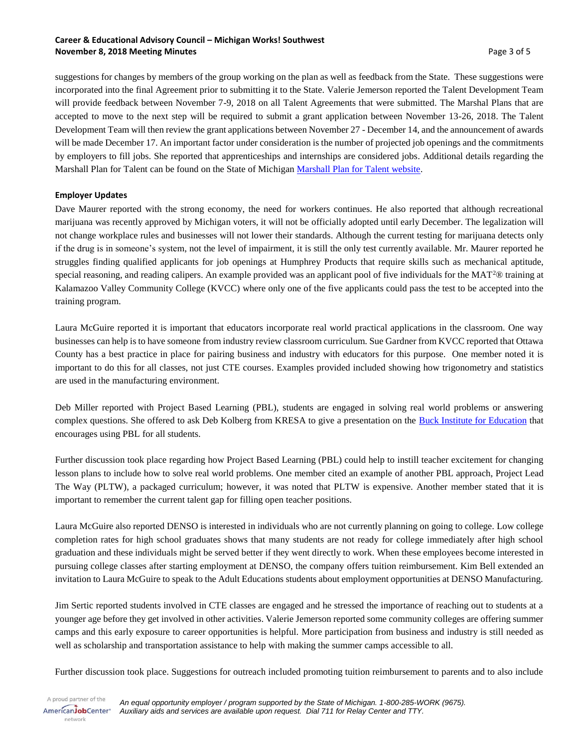# **Career & Educational Advisory Council – Michigan Works! Southwest November 8, 2018 Meeting Minutes According the Second Line Second Line Second Line Second Page 3 of 5**

suggestions for changes by members of the group working on the plan as well as feedback from the State. These suggestions were incorporated into the final Agreement prior to submitting it to the State. Valerie Jemerson reported the Talent Development Team will provide feedback between November 7-9, 2018 on all Talent Agreements that were submitted. The Marshal Plans that are accepted to move to the next step will be required to submit a grant application between November 13-26, 2018. The Talent Development Team will then review the grant applications between November 27 - December 14, and the announcement of awards will be made December 17. An important factor under consideration is the number of projected job openings and the commitments by employers to fill jobs. She reported that apprenticeships and internships are considered jobs. Additional details regarding the Marshall Plan for Talent can be found on the State of Michigan [Marshall Plan for Talent website.](https://www.michigan.gov/ted/0,5863,7-336-85008---,00.html)

# **Employer Updates**

Dave Maurer reported with the strong economy, the need for workers continues. He also reported that although recreational marijuana was recently approved by Michigan voters, it will not be officially adopted until early December. The legalization will not change workplace rules and businesses will not lower their standards. Although the current testing for marijuana detects only if the drug is in someone's system, not the level of impairment, it is still the only test currently available. Mr. Maurer reported he struggles finding qualified applicants for job openings at Humphrey Products that require skills such as mechanical aptitude, special reasoning, and reading calipers. An example provided was an applicant pool of five individuals for the MAT<sup>2</sup>® training at Kalamazoo Valley Community College (KVCC) where only one of the five applicants could pass the test to be accepted into the training program.

Laura McGuire reported it is important that educators incorporate real world practical applications in the classroom. One way businesses can help is to have someone from industry review classroom curriculum. Sue Gardner from KVCC reported that Ottawa County has a best practice in place for pairing business and industry with educators for this purpose. One member noted it is important to do this for all classes, not just CTE courses. Examples provided included showing how trigonometry and statistics are used in the manufacturing environment.

Deb Miller reported with Project Based Learning (PBL), students are engaged in solving real world problems or answering complex questions. She offered to ask Deb Kolberg from KRESA to give a presentation on the [Buck Institute for Education](http://www.bie.org/) that encourages using PBL for all students.

Further discussion took place regarding how Project Based Learning (PBL) could help to instill teacher excitement for changing lesson plans to include how to solve real world problems. One member cited an example of another PBL approach, Project Lead The Way (PLTW), a packaged curriculum; however, it was noted that PLTW is expensive. Another member stated that it is important to remember the current talent gap for filling open teacher positions.

Laura McGuire also reported DENSO is interested in individuals who are not currently planning on going to college. Low college completion rates for high school graduates shows that many students are not ready for college immediately after high school graduation and these individuals might be served better if they went directly to work. When these employees become interested in pursuing college classes after starting employment at DENSO, the company offers tuition reimbursement. Kim Bell extended an invitation to Laura McGuire to speak to the Adult Educations students about employment opportunities at DENSO Manufacturing.

Jim Sertic reported students involved in CTE classes are engaged and he stressed the importance of reaching out to students at a younger age before they get involved in other activities. Valerie Jemerson reported some community colleges are offering summer camps and this early exposure to career opportunities is helpful. More participation from business and industry is still needed as well as scholarship and transportation assistance to help with making the summer camps accessible to all.

Further discussion took place. Suggestions for outreach included promoting tuition reimbursement to parents and to also include

A proud partner of the AmericanJobCenter<sup>®</sup> network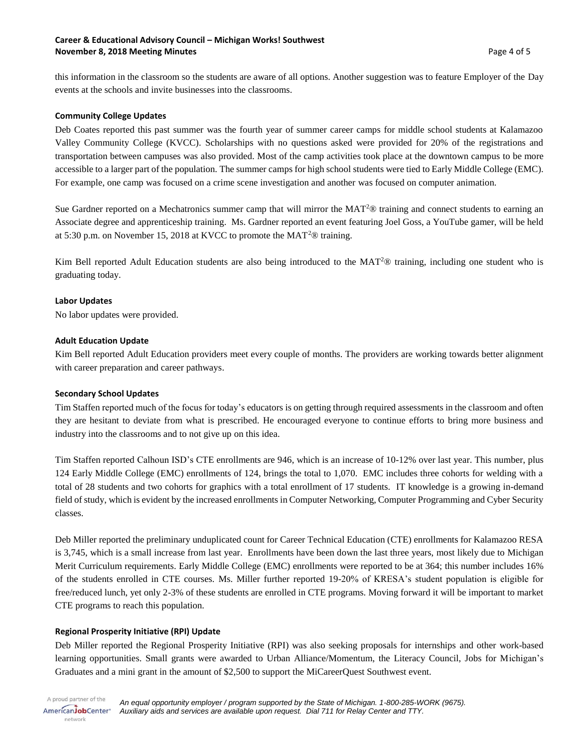## **Career & Educational Advisory Council – Michigan Works! Southwest November 8, 2018 Meeting Minutes According the Second Line Second Line Second Line Second Page 4 of 5**

this information in the classroom so the students are aware of all options. Another suggestion was to feature Employer of the Day events at the schools and invite businesses into the classrooms.

## **Community College Updates**

Deb Coates reported this past summer was the fourth year of summer career camps for middle school students at Kalamazoo Valley Community College (KVCC). Scholarships with no questions asked were provided for 20% of the registrations and transportation between campuses was also provided. Most of the camp activities took place at the downtown campus to be more accessible to a larger part of the population. The summer camps for high school students were tied to Early Middle College (EMC). For example, one camp was focused on a crime scene investigation and another was focused on computer animation.

Sue Gardner reported on a Mechatronics summer camp that will mirror the  $MAT^2$ ® training and connect students to earning an Associate degree and apprenticeship training. Ms. Gardner reported an event featuring Joel Goss, a YouTube gamer, will be held at 5:30 p.m. on November 15, 2018 at KVCC to promote the MAT<sup>2</sup>® training.

Kim Bell reported Adult Education students are also being introduced to the MAT<sup>2</sup>® training, including one student who is graduating today.

## **Labor Updates**

No labor updates were provided.

## **Adult Education Update**

Kim Bell reported Adult Education providers meet every couple of months. The providers are working towards better alignment with career preparation and career pathways.

### **Secondary School Updates**

Tim Staffen reported much of the focus for today's educators is on getting through required assessments in the classroom and often they are hesitant to deviate from what is prescribed. He encouraged everyone to continue efforts to bring more business and industry into the classrooms and to not give up on this idea.

Tim Staffen reported Calhoun ISD's CTE enrollments are 946, which is an increase of 10-12% over last year. This number, plus 124 Early Middle College (EMC) enrollments of 124, brings the total to 1,070. EMC includes three cohorts for welding with a total of 28 students and two cohorts for graphics with a total enrollment of 17 students. IT knowledge is a growing in-demand field of study, which is evident by the increased enrollments in Computer Networking, Computer Programming and Cyber Security classes.

Deb Miller reported the preliminary unduplicated count for Career Technical Education (CTE) enrollments for Kalamazoo RESA is 3,745, which is a small increase from last year. Enrollments have been down the last three years, most likely due to Michigan Merit Curriculum requirements. Early Middle College (EMC) enrollments were reported to be at 364; this number includes 16% of the students enrolled in CTE courses. Ms. Miller further reported 19-20% of KRESA's student population is eligible for free/reduced lunch, yet only 2-3% of these students are enrolled in CTE programs. Moving forward it will be important to market CTE programs to reach this population.

# **Regional Prosperity Initiative (RPI) Update**

Deb Miller reported the Regional Prosperity Initiative (RPI) was also seeking proposals for internships and other work-based learning opportunities. Small grants were awarded to Urban Alliance/Momentum, the Literacy Council, Jobs for Michigan's Graduates and a mini grant in the amount of \$2,500 to support the MiCareerQuest Southwest event.